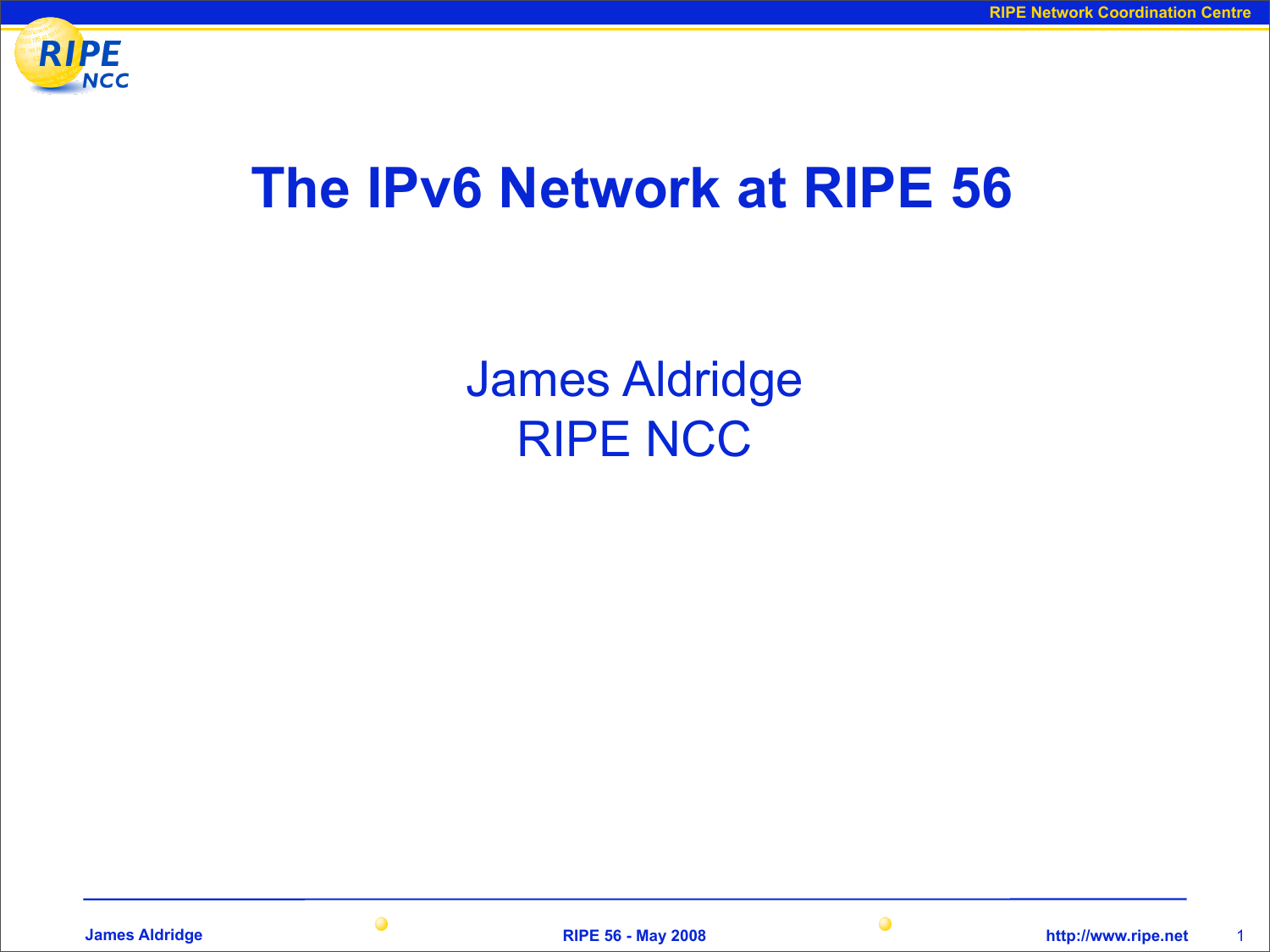

## **The IPv6 Network at RIPE 56**

James Aldridge RIPE NCC

1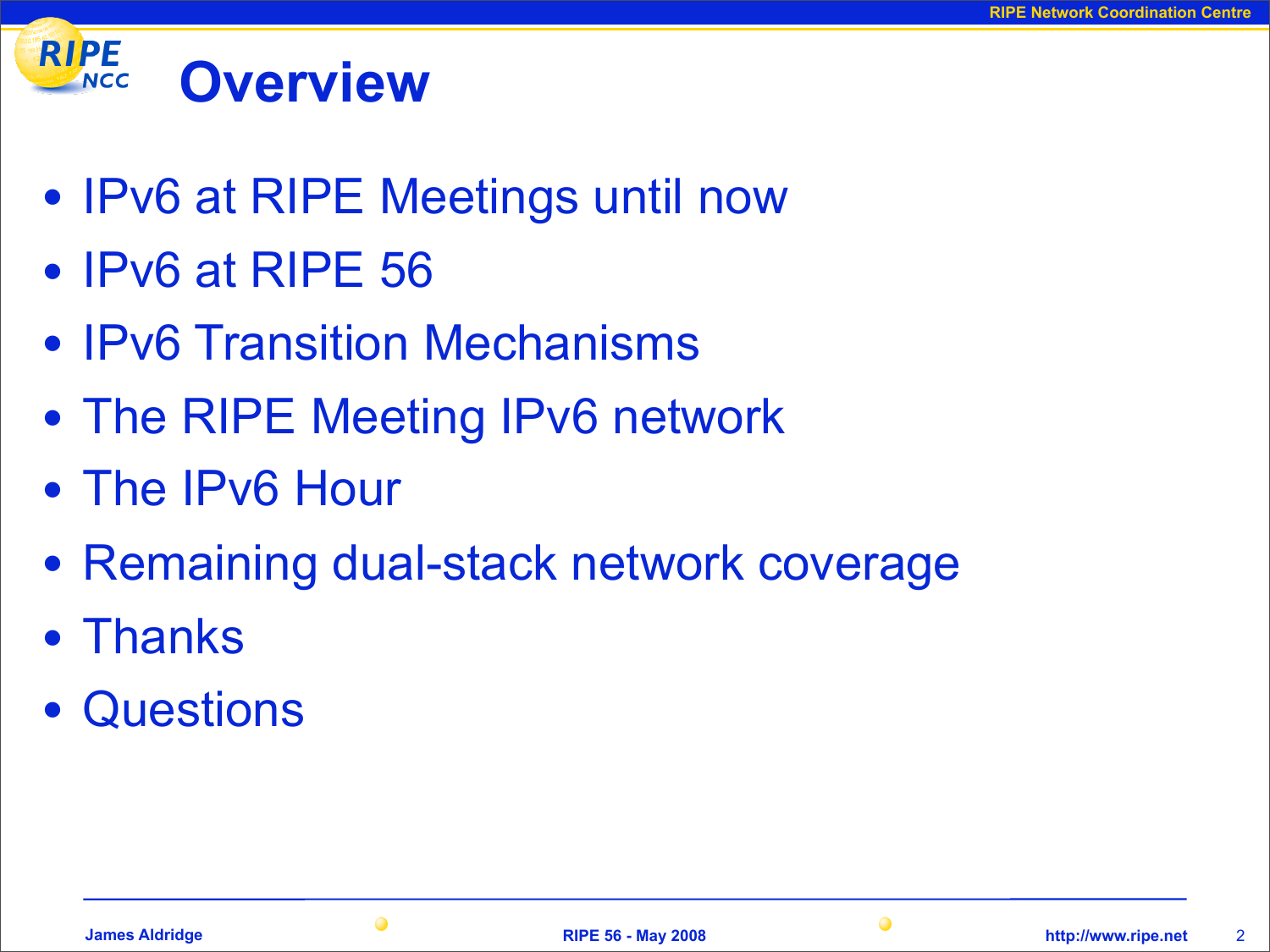## **RIPE Overview NCC**

- IPv6 at RIPE Meetings until now
- IPv6 at RIPE 56
- IPv6 Transition Mechanisms
- The RIPE Meeting IPv6 network
- The IPv6 Hour
- Remaining dual-stack network coverage
- Thanks
- Questions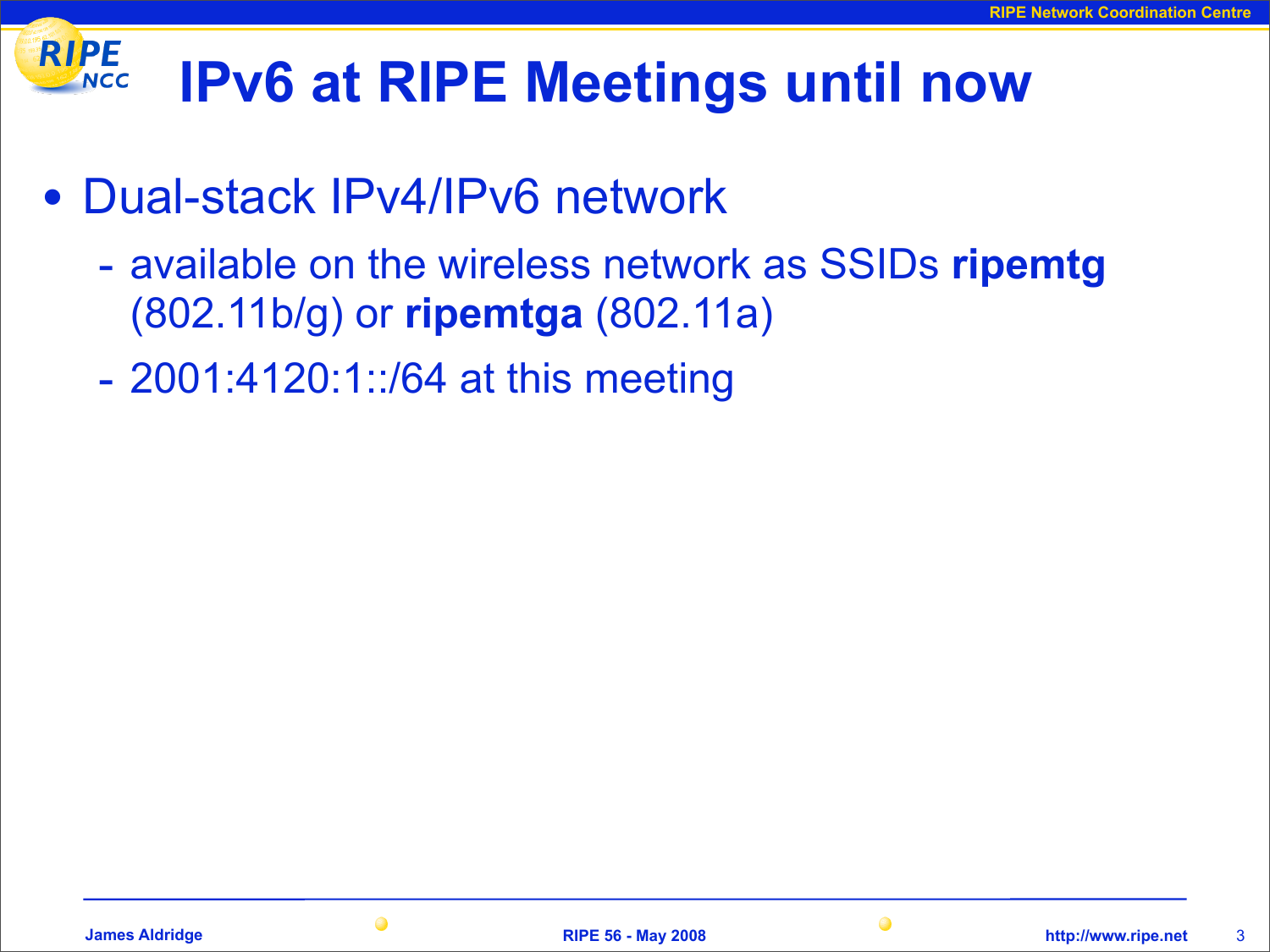## **RIPE IPv6 at RIPE Meetings until now NCC**

- Dual-stack IPv4/IPv6 network
	- available on the wireless network as SSIDs **ripemtg** (802.11b/g) or **ripemtga** (802.11a)
	- 2001:4120:1::/64 at this meeting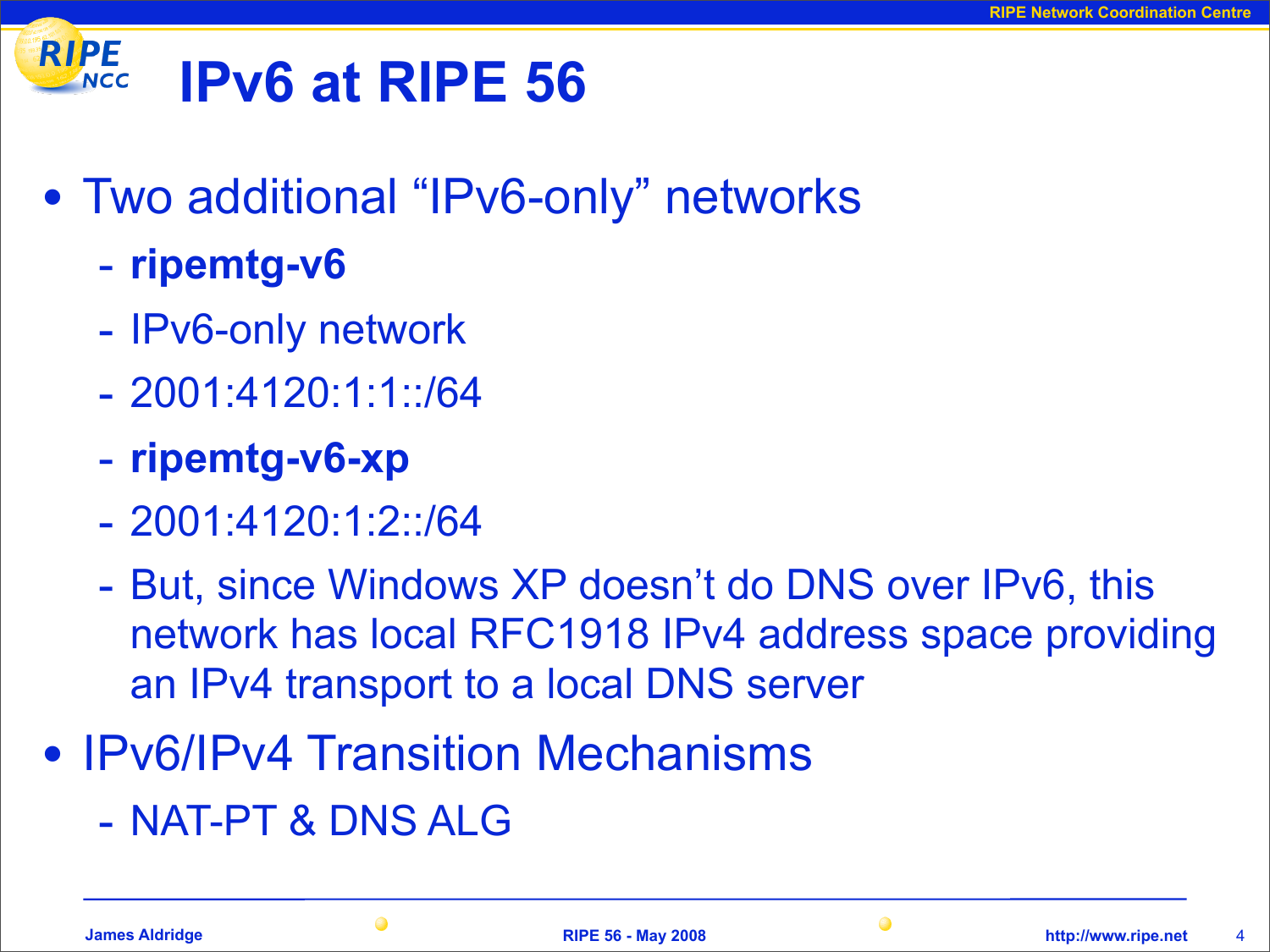## **RIPE IPv6 at RIPE 56 NCC**

- Two additional "IPv6-only" networks
	- **ripemtg-v6**
	- IPv6-only network
	- 2001:4120:1:1::/64
	- **ripemtg-v6-xp**
	- 2001:4120:1:2::/64
	- But, since Windows XP doesn't do DNS over IPv6, this network has local RFC1918 IPv4 address space providing an IPv4 transport to a local DNS server
- IPv6/IPv4 Transition Mechanisms
	- NAT-PT & DNS ALG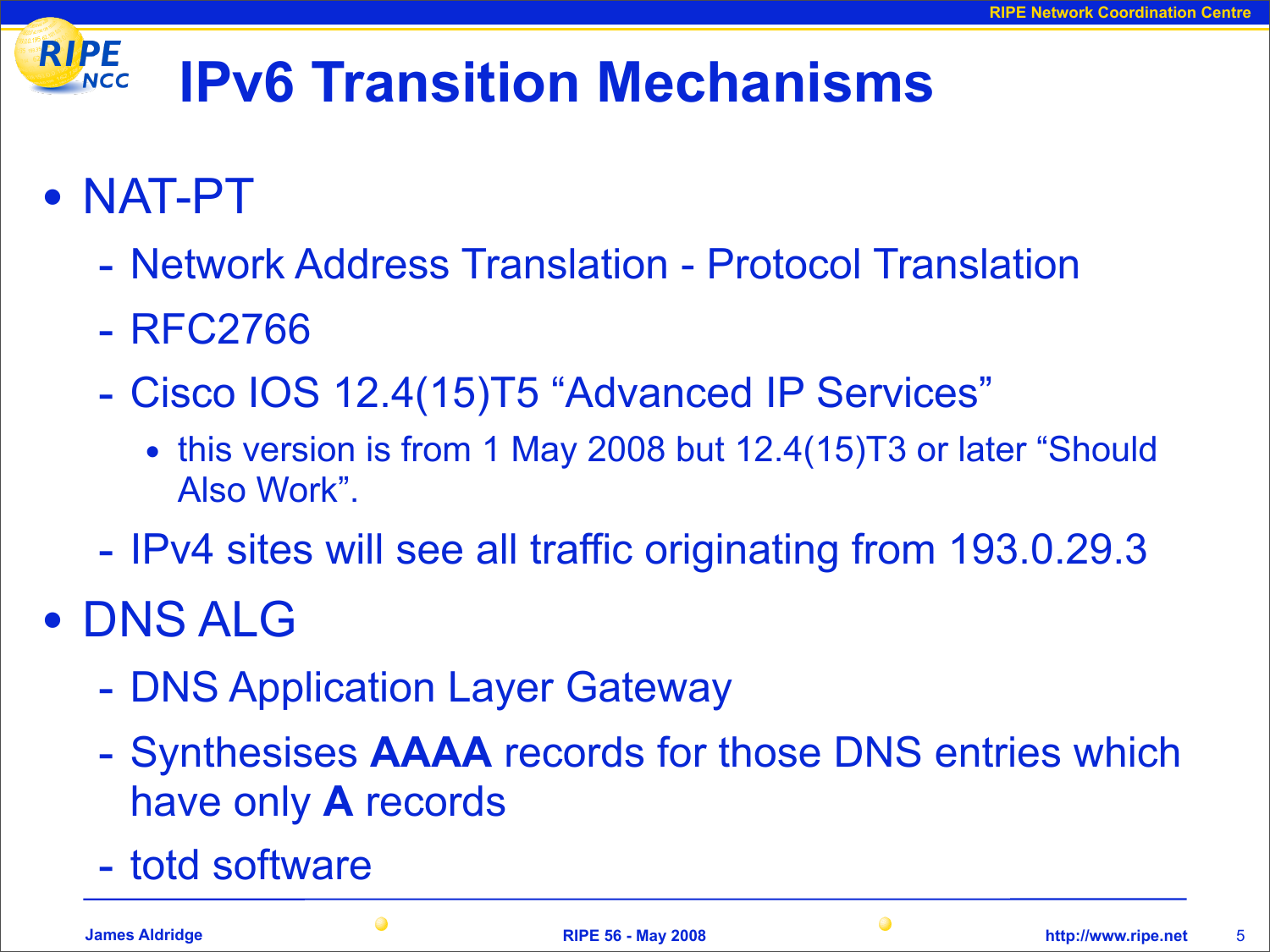## **RIPE IPv6 Transition Mechanisms NCC**

- NAT-PT
	- Network Address Translation Protocol Translation
	- RFC2766
	- Cisco IOS 12.4(15)T5 "Advanced IP Services"
		- this version is from 1 May 2008 but 12.4(15)T3 or later "Should Also Work".
	- IPv4 sites will see all traffic originating from 193.0.29.3
- DNS ALG
	- DNS Application Layer Gateway
	- Synthesises **AAAA** records for those DNS entries which have only **A** records
	- totd software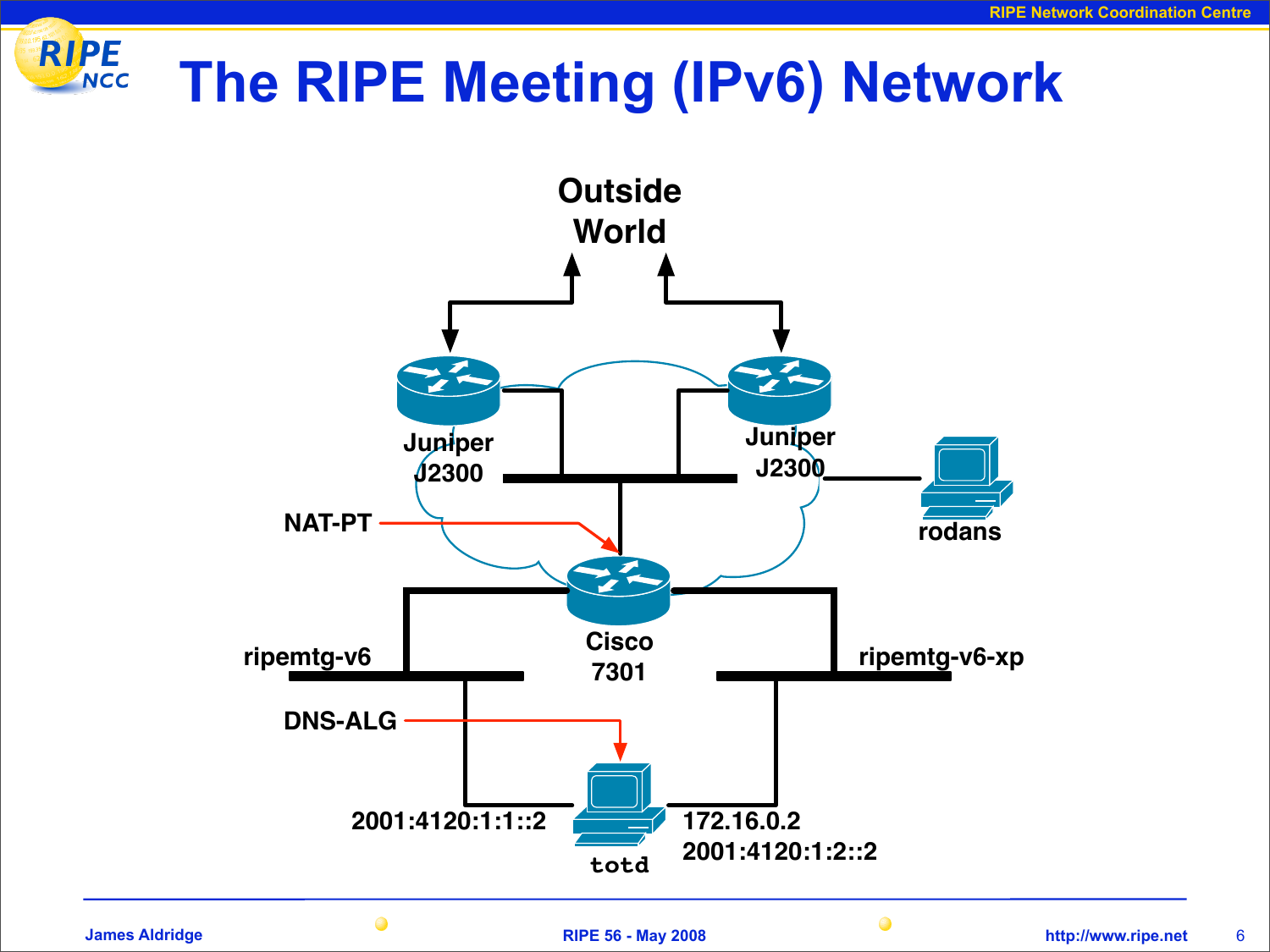## **RIPE The RIPE Meeting (IPv6) Network** NCC

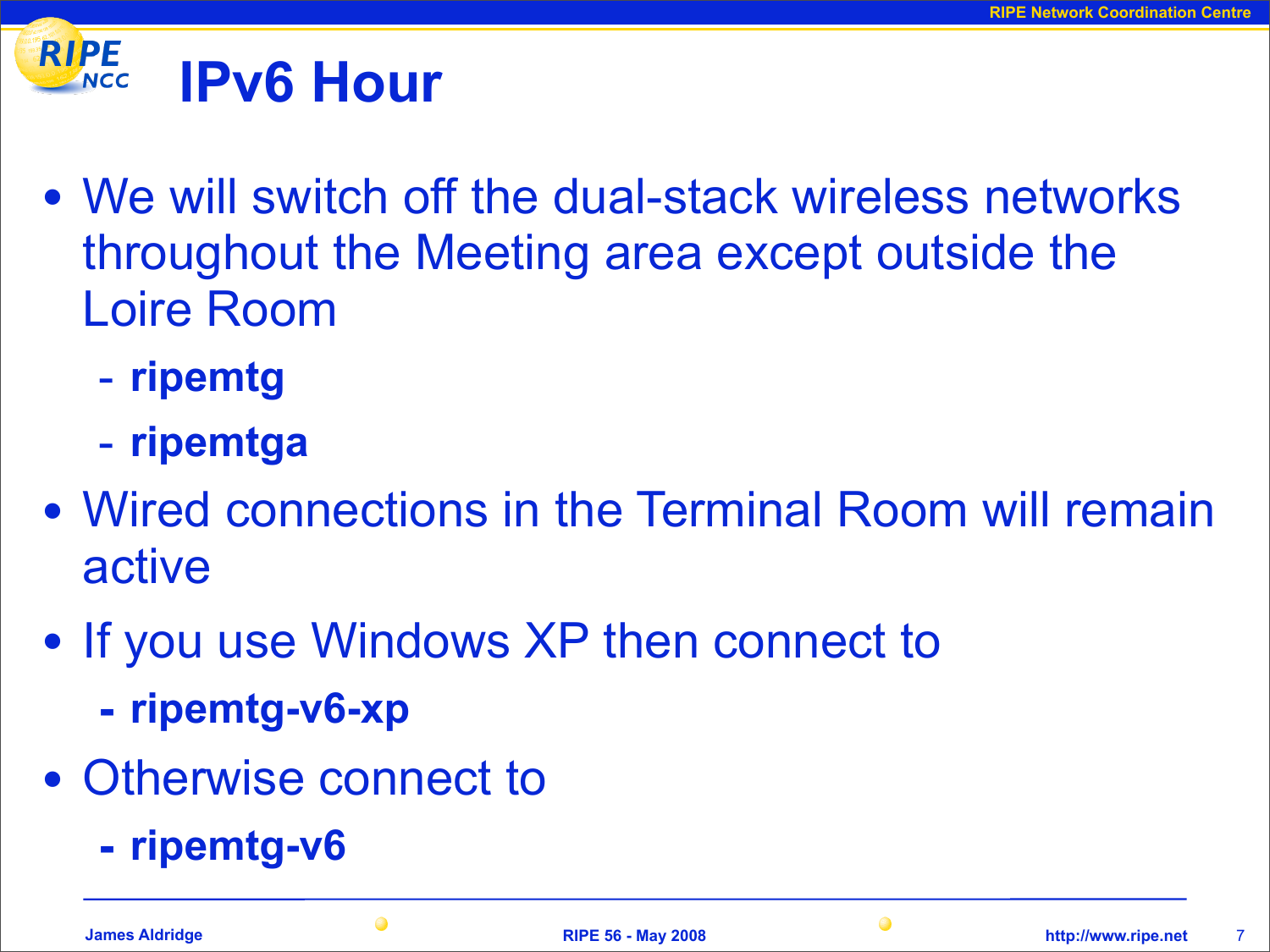### **RIPE IPv6 Hour NCC**

- We will switch off the dual-stack wireless networks throughout the Meeting area except outside the Loire Room
	- **ripemtg**
	- **ripemtga**
- Wired connections in the Terminal Room will remain active
- If you use Windows XP then connect to
	- **- ripemtg-v6-xp**
- Otherwise connect to
	- **- ripemtg-v6**

7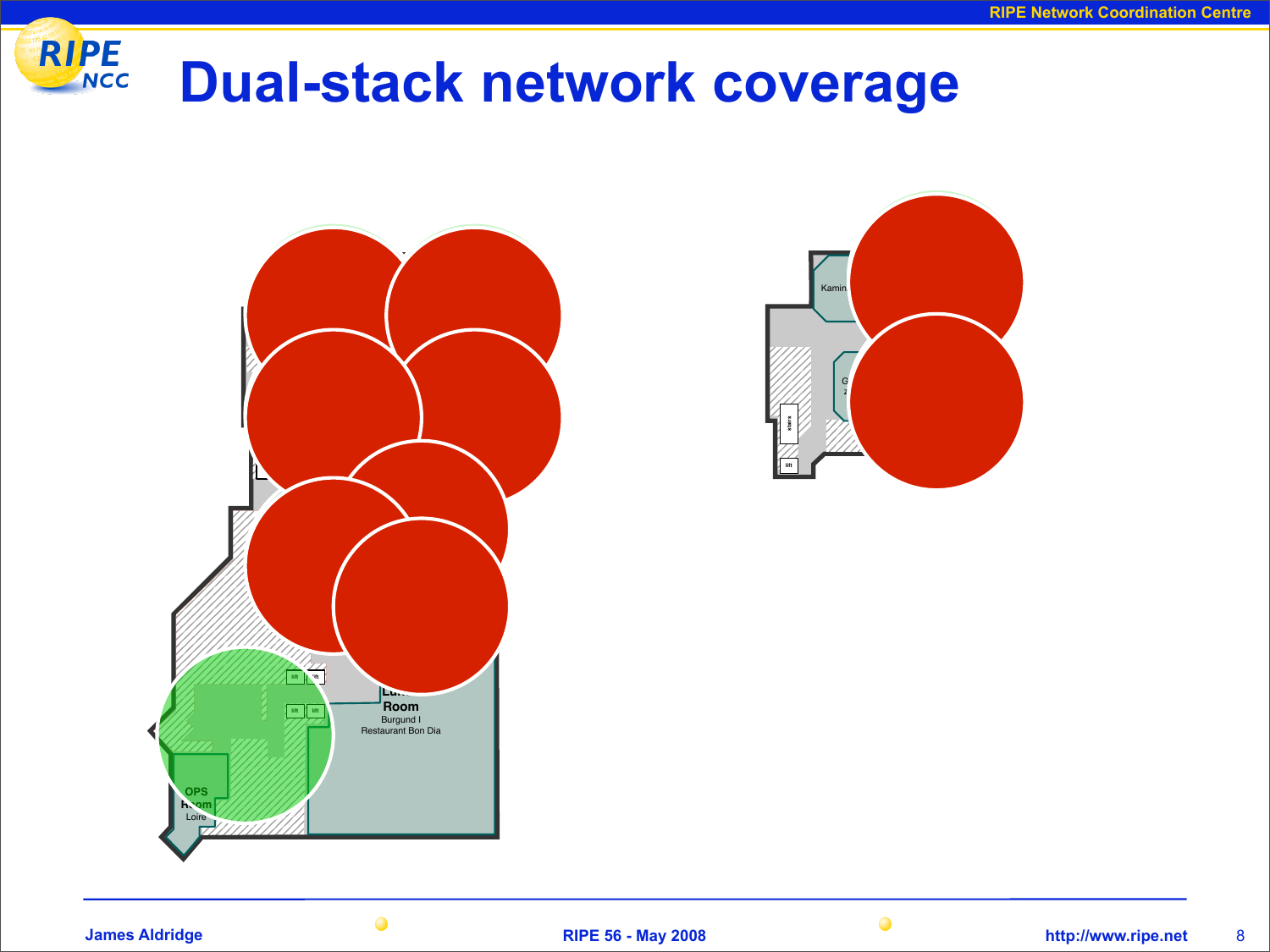## RIPE **Dual-stack network coverage**



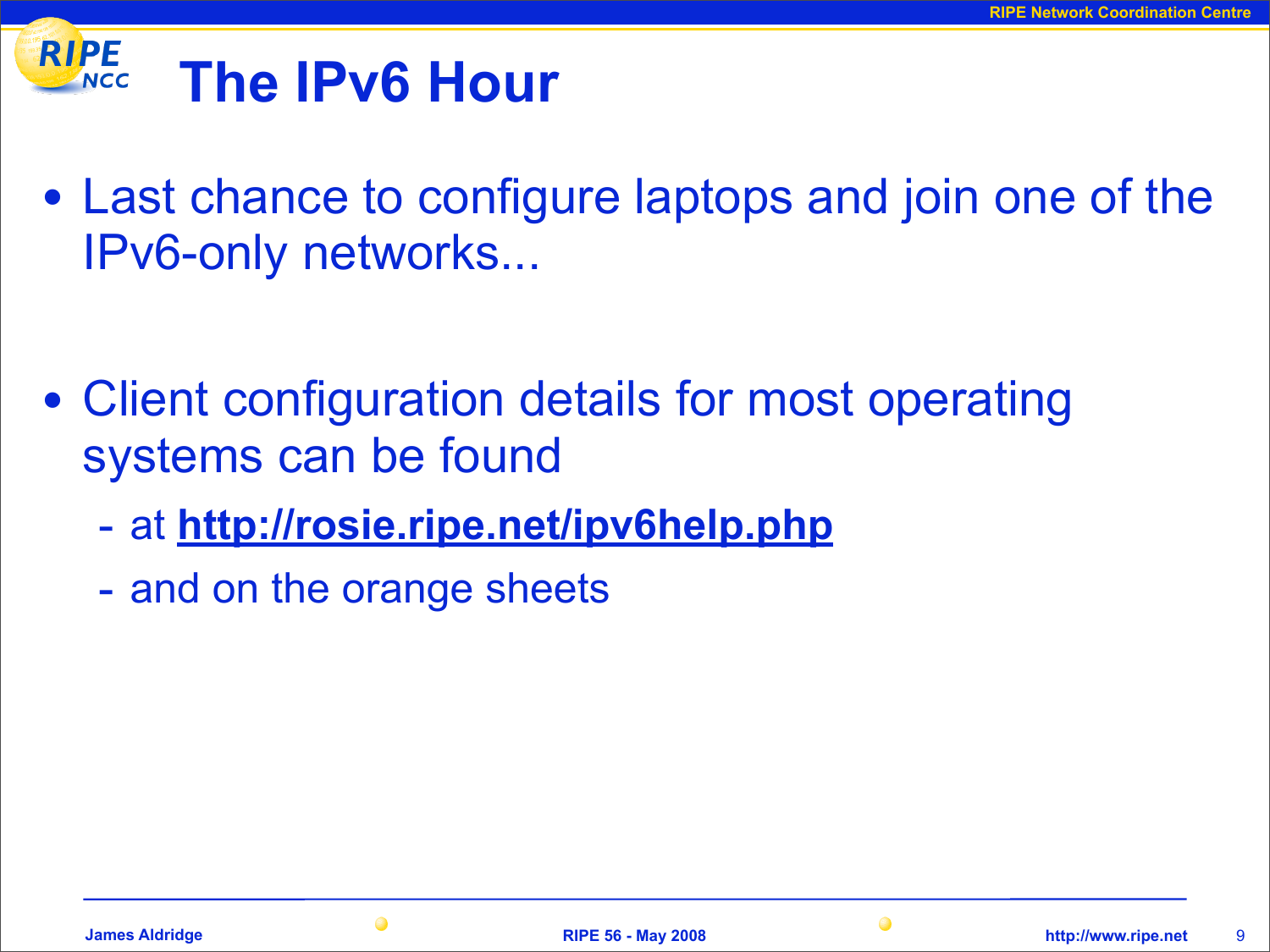## **RIPE The IPv6 Hour NCC**

- Last chance to configure laptops and join one of the IPv6-only networks...
- Client configuration details for most operating systems can be found
	- at **<http://rosie.ripe.net/ipv6help.php>**
	- and on the orange sheets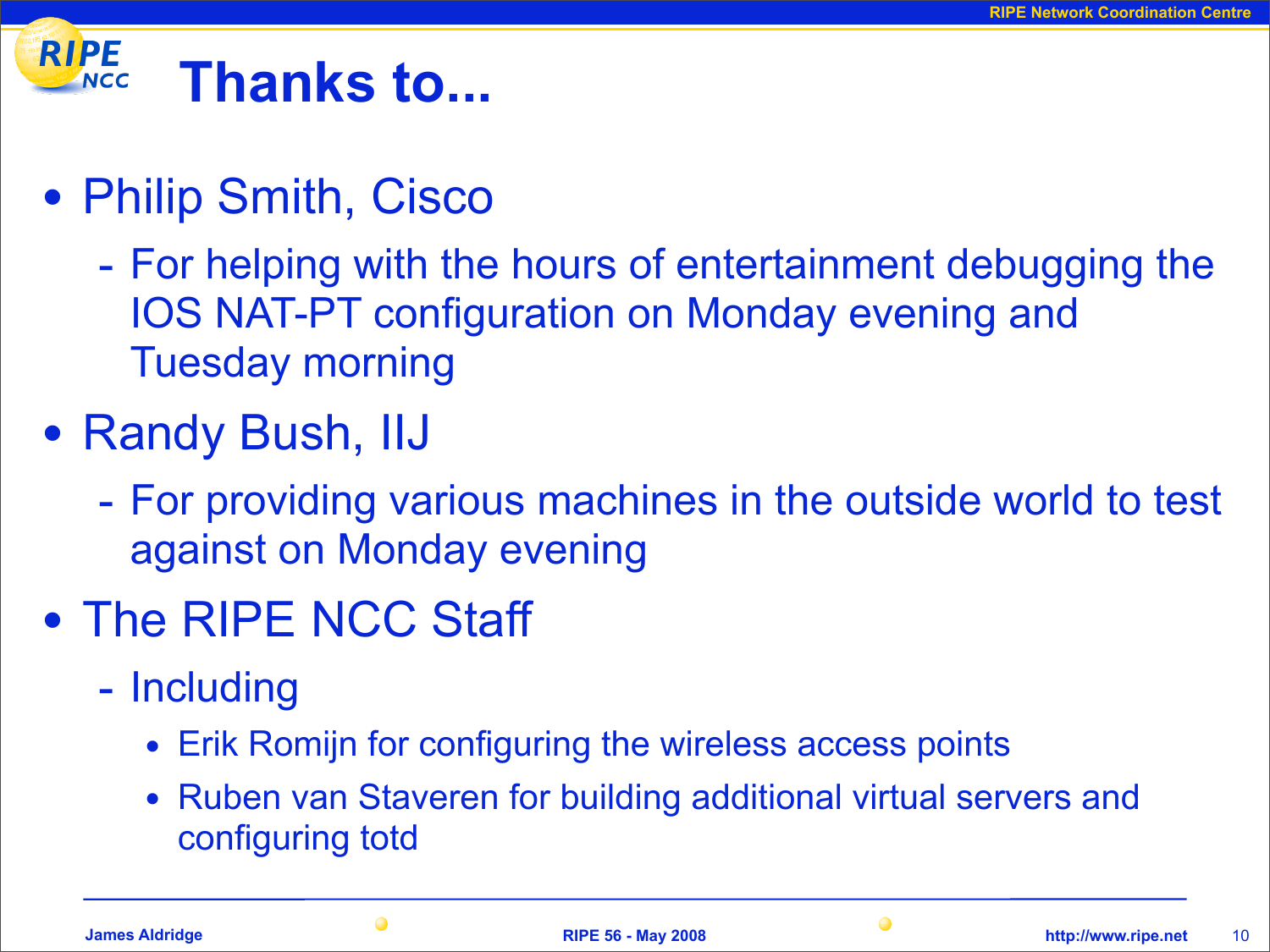#### **RIPE Thanks to... NCC**

- Philip Smith, Cisco
	- For helping with the hours of entertainment debugging the IOS NAT-PT configuration on Monday evening and Tuesday morning
- Randy Bush, IIJ
	- For providing various machines in the outside world to test against on Monday evening
- The RIPE NCC Staff
	- Including
		- Erik Romijn for configuring the wireless access points
		- Ruben van Staveren for building additional virtual servers and configuring totd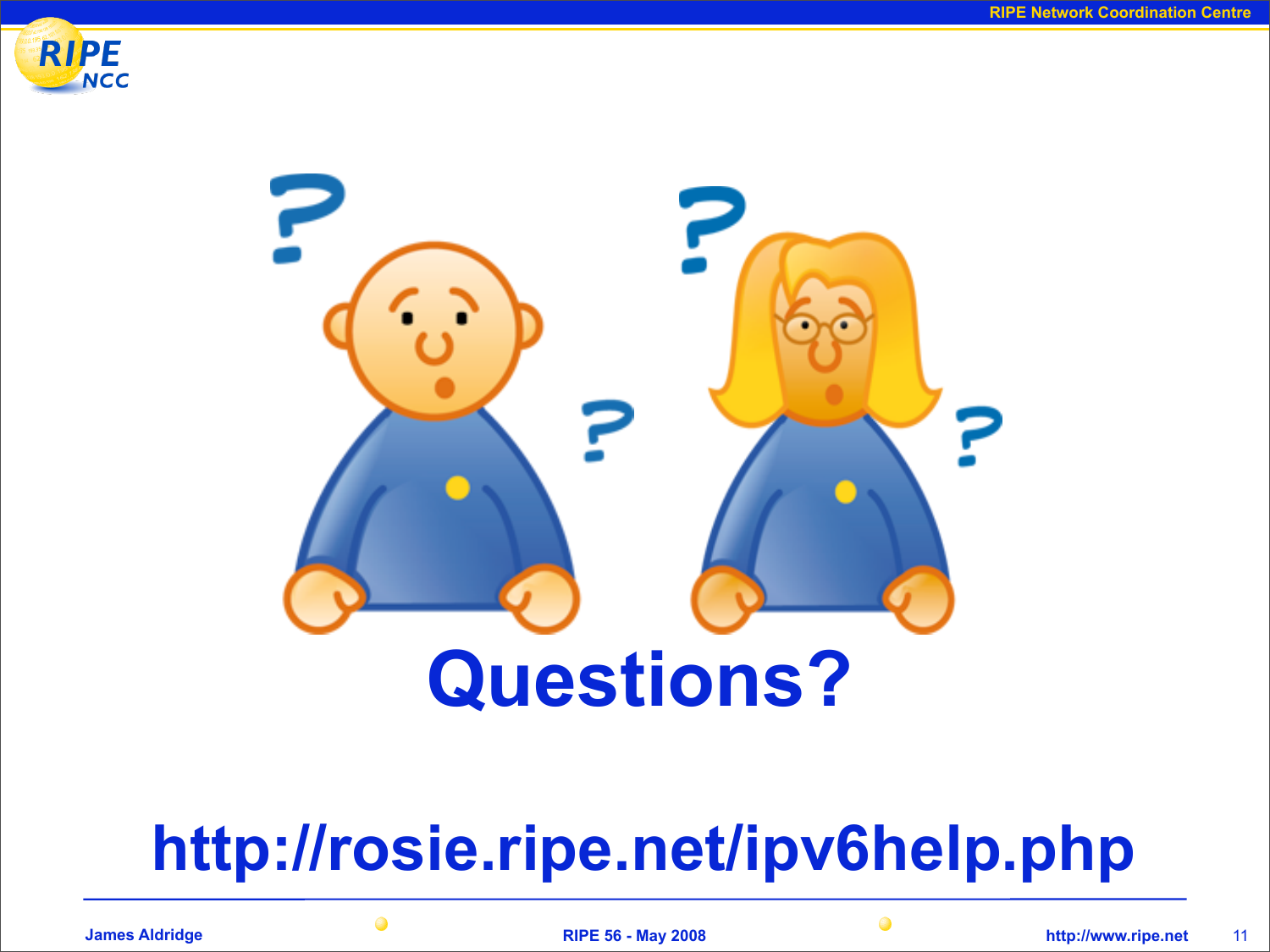



# **http://rosie.ripe.net/ipv6help.php**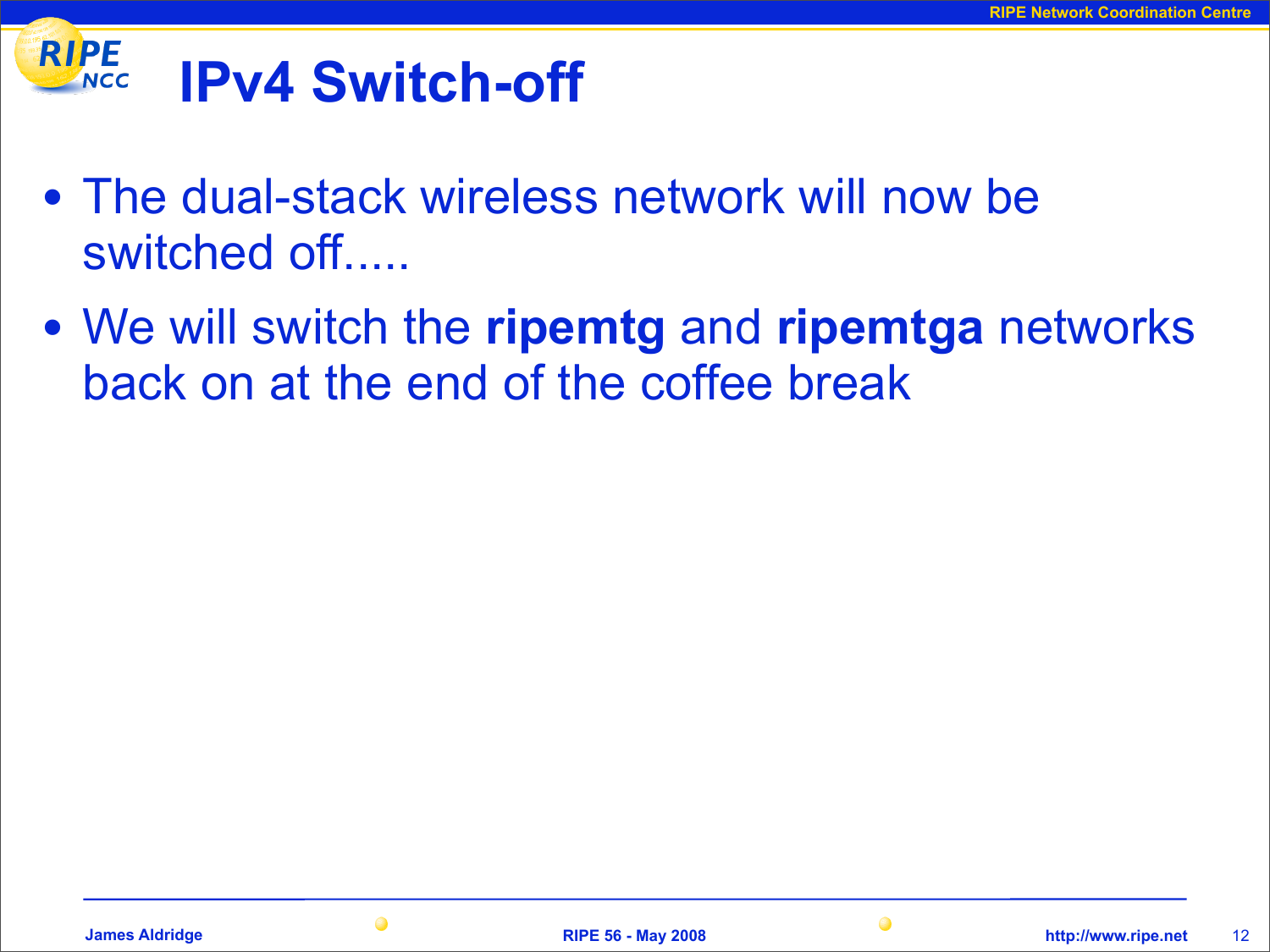## **RIPE IPv4 Switch-off NCC**

- The dual-stack wireless network will now be switched off.....
- We will switch the **ripemtg** and **ripemtga** networks back on at the end of the coffee break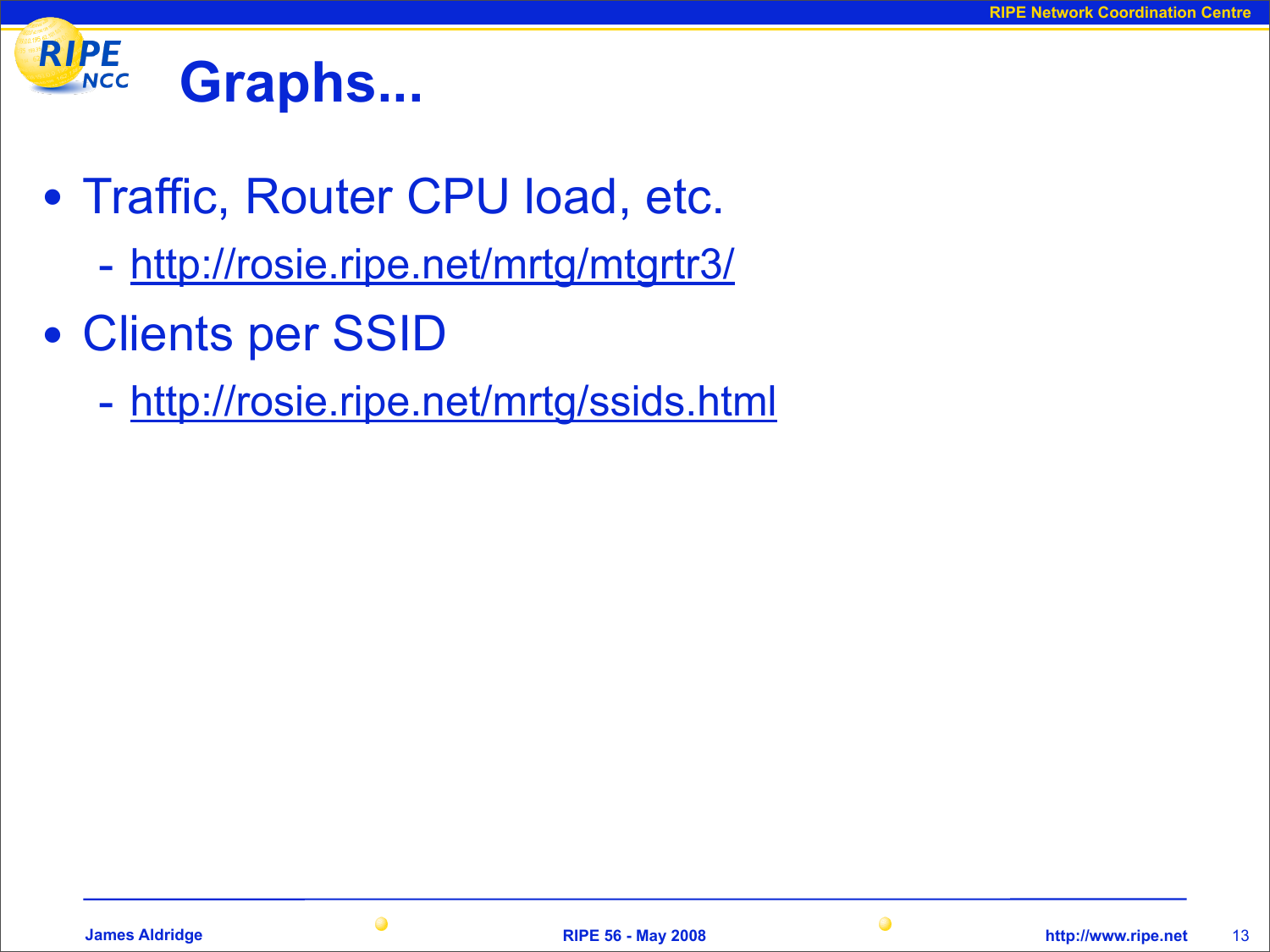

- Traffic, Router CPU load, etc.
	- <http://rosie.ripe.net/mrtg/mtgrtr3/>
- Clients per SSID
	- <http://rosie.ripe.net/mrtg/ssids.html>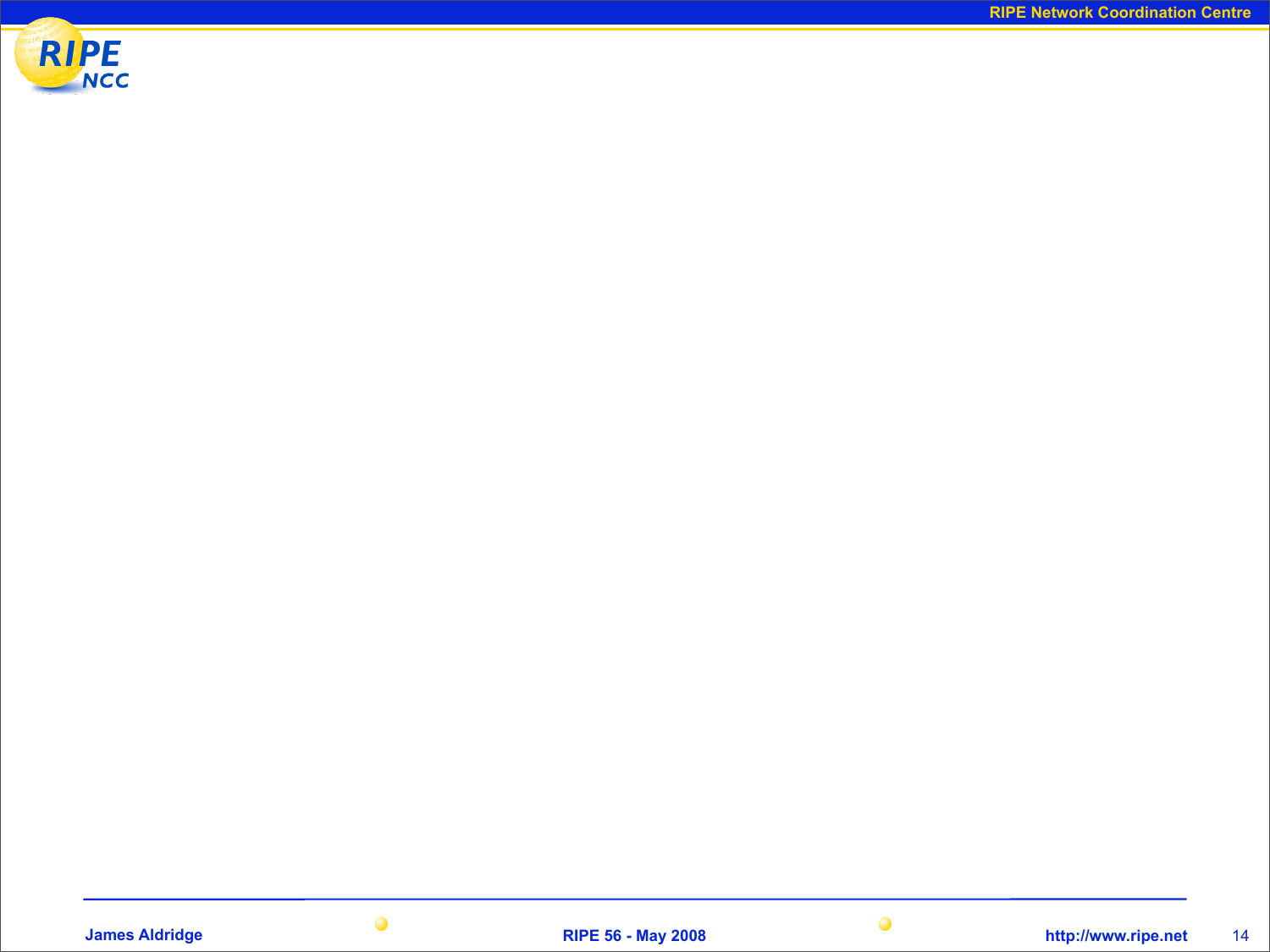